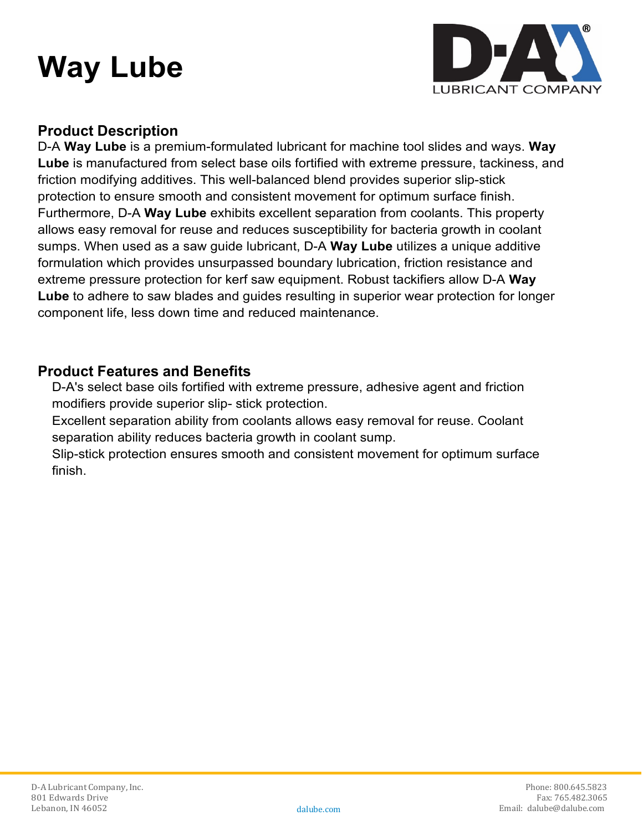# **Way Lube**



### **Product Description**

D-A **Way Lube** is a premium-formulated lubricant for machine tool slides and ways. **Way Lube** is manufactured from select base oils fortified with extreme pressure, tackiness, and friction modifying additives. This well-balanced blend provides superior slip-stick protection to ensure smooth and consistent movement for optimum surface finish. Furthermore, D-A **Way Lube** exhibits excellent separation from coolants. This property allows easy removal for reuse and reduces susceptibility for bacteria growth in coolant sumps. When used as a saw guide lubricant, D-A **Way Lube** utilizes a unique additive formulation which provides unsurpassed boundary lubrication, friction resistance and extreme pressure protection for kerf saw equipment. Robust tackifiers allow D-A **Way Lube** to adhere to saw blades and guides resulting in superior wear protection for longer component life, less down time and reduced maintenance.

#### **Product Features and Benefits**

D-A's select base oils fortified with extreme pressure, adhesive agent and friction modifiers provide superior slip- stick protection.

Excellent separation ability from coolants allows easy removal for reuse. Coolant separation ability reduces bacteria growth in coolant sump.

Slip-stick protection ensures smooth and consistent movement for optimum surface finish.